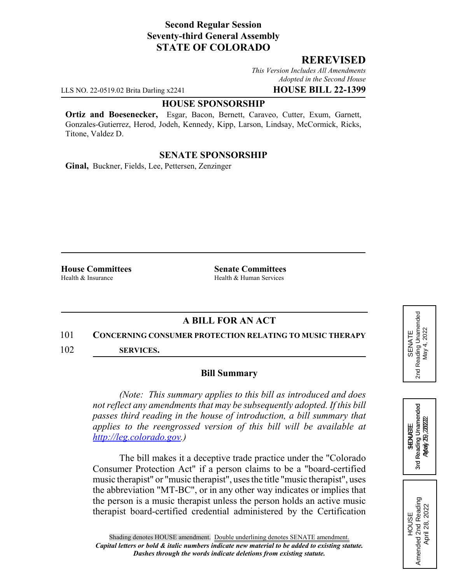# **Second Regular Session Seventy-third General Assembly STATE OF COLORADO**

## **REREVISED**

*This Version Includes All Amendments Adopted in the Second House*

LLS NO. 22-0519.02 Brita Darling x2241 **HOUSE BILL 22-1399**

### **HOUSE SPONSORSHIP**

**Ortiz and Boesenecker,** Esgar, Bacon, Bernett, Caraveo, Cutter, Exum, Garnett, Gonzales-Gutierrez, Herod, Jodeh, Kennedy, Kipp, Larson, Lindsay, McCormick, Ricks, Titone, Valdez D.

## **SENATE SPONSORSHIP**

**Ginal,** Buckner, Fields, Lee, Pettersen, Zenzinger

**House Committees**<br> **Health & Insurance**<br> **Health & Human Services**<br> **Health & Human Services** Health & Human Services

# **A BILL FOR AN ACT**

#### 101 **CONCERNING CONSUMER PROTECTION RELATING TO MUSIC THERAPY**

102 **SERVICES.**

### **Bill Summary**

*(Note: This summary applies to this bill as introduced and does not reflect any amendments that may be subsequently adopted. If this bill passes third reading in the house of introduction, a bill summary that applies to the reengrossed version of this bill will be available at http://leg.colorado.gov.)*

The bill makes it a deceptive trade practice under the "Colorado Consumer Protection Act" if a person claims to be a "board-certified music therapist" or "music therapist", uses the title "music therapist", uses the abbreviation "MT-BC", or in any other way indicates or implies that the person is a music therapist unless the person holds an active music therapist board-certified credential administered by the Certification





HOUSE<br>Amended 2nd Reading Amended 2nd Reading April 28, 2022

April 28, 2022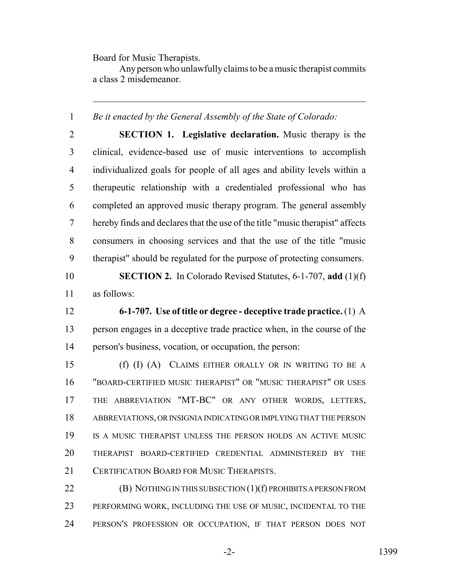Board for Music Therapists.

Any person who unlawfully claims to be a music therapist commits a class 2 misdemeanor.

*Be it enacted by the General Assembly of the State of Colorado:*

 **SECTION 1. Legislative declaration.** Music therapy is the clinical, evidence-based use of music interventions to accomplish individualized goals for people of all ages and ability levels within a therapeutic relationship with a credentialed professional who has completed an approved music therapy program. The general assembly hereby finds and declares that the use of the title "music therapist" affects consumers in choosing services and that the use of the title "music therapist" should be regulated for the purpose of protecting consumers.

 **SECTION 2.** In Colorado Revised Statutes, 6-1-707, **add** (1)(f) as follows:

 **6-1-707. Use of title or degree - deceptive trade practice.** (1) A person engages in a deceptive trade practice when, in the course of the person's business, vocation, or occupation, the person:

 (f) (I) (A) CLAIMS EITHER ORALLY OR IN WRITING TO BE A "BOARD-CERTIFIED MUSIC THERAPIST" OR "MUSIC THERAPIST" OR USES THE ABBREVIATION "MT-BC" OR ANY OTHER WORDS, LETTERS, ABBREVIATIONS, OR INSIGNIA INDICATING OR IMPLYING THAT THE PERSON IS A MUSIC THERAPIST UNLESS THE PERSON HOLDS AN ACTIVE MUSIC THERAPIST BOARD-CERTIFIED CREDENTIAL ADMINISTERED BY THE 21 CERTIFICATION BOARD FOR MUSIC THERAPISTS.

**(B) NOTHING IN THIS SUBSECTION (1)(f) PROHIBITS A PERSON FROM**  PERFORMING WORK, INCLUDING THE USE OF MUSIC, INCIDENTAL TO THE PERSON'S PROFESSION OR OCCUPATION, IF THAT PERSON DOES NOT

-2- 1399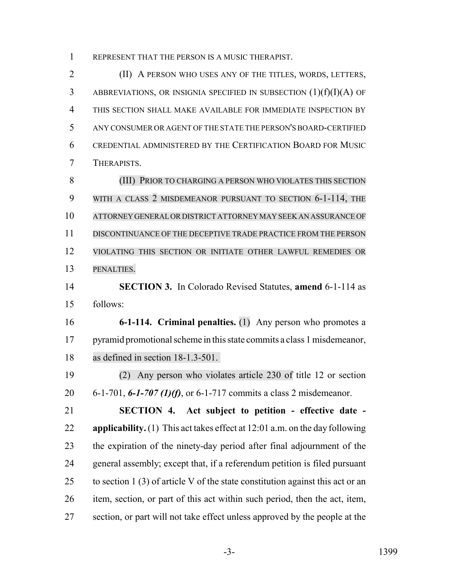REPRESENT THAT THE PERSON IS A MUSIC THERAPIST.

 (II) A PERSON WHO USES ANY OF THE TITLES, WORDS, LETTERS, 3 ABBREVIATIONS, OR INSIGNIA SPECIFIED IN SUBSECTION  $(1)(f)(I)(A)$  OF THIS SECTION SHALL MAKE AVAILABLE FOR IMMEDIATE INSPECTION BY ANY CONSUMER OR AGENT OF THE STATE THE PERSON'S BOARD-CERTIFIED CREDENTIAL ADMINISTERED BY THE CERTIFICATION BOARD FOR MUSIC THERAPISTS.

 (III) PRIOR TO CHARGING A PERSON WHO VIOLATES THIS SECTION WITH A CLASS 2 MISDEMEANOR PURSUANT TO SECTION 6-1-114, THE ATTORNEY GENERAL OR DISTRICT ATTORNEY MAY SEEK AN ASSURANCE OF DISCONTINUANCE OF THE DECEPTIVE TRADE PRACTICE FROM THE PERSON VIOLATING THIS SECTION OR INITIATE OTHER LAWFUL REMEDIES OR PENALTIES.

 **SECTION 3.** In Colorado Revised Statutes, **amend** 6-1-114 as follows:

 **6-1-114. Criminal penalties.** (1) Any person who promotes a 17 pyramid promotional scheme in this state commits a class 1 misdemeanor, as defined in section 18-1.3-501.

 (2) Any person who violates article 230 of title 12 or section 6-1-701, *6-1-707 (1)(f)*, or 6-1-717 commits a class 2 misdemeanor.

 **SECTION 4. Act subject to petition - effective date - applicability.** (1) This act takes effect at 12:01 a.m. on the day following the expiration of the ninety-day period after final adjournment of the general assembly; except that, if a referendum petition is filed pursuant 25 to section 1 (3) of article V of the state constitution against this act or an item, section, or part of this act within such period, then the act, item, section, or part will not take effect unless approved by the people at the